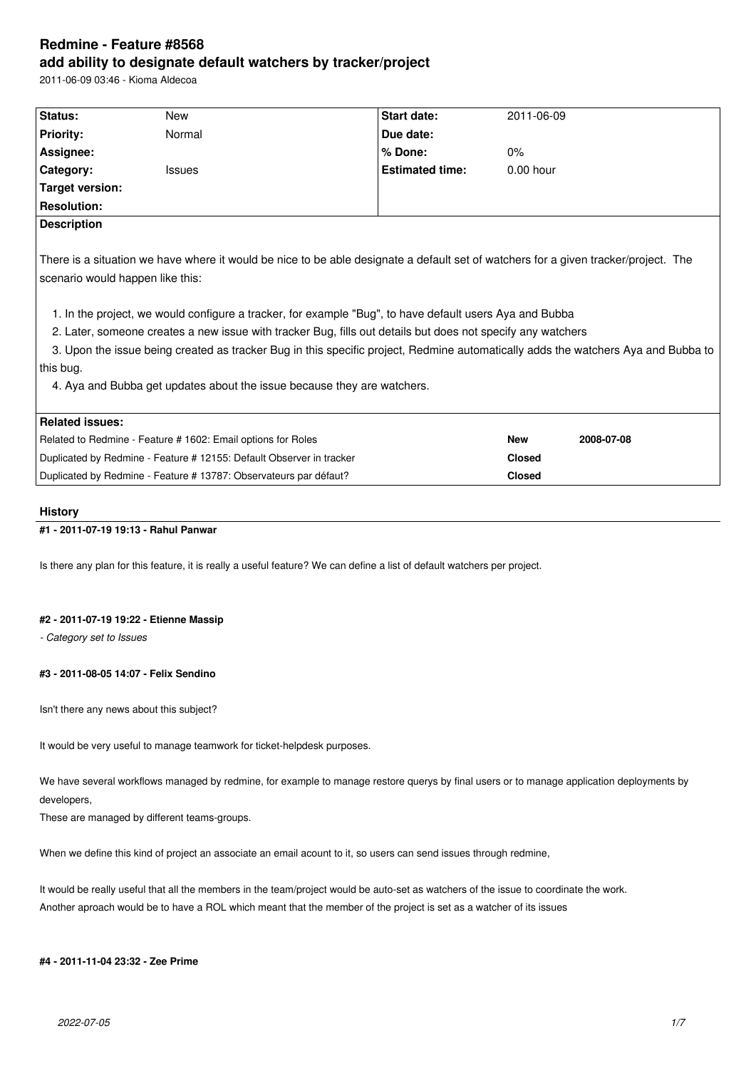# **Redmine - Feature #8568 add ability to designate default watchers by tracker/project**

2011-06-09 03:46 - Kioma Aldecoa

| Status:                                                                                                                                                                                                                                                                                                                                                                                                                                                                                                                                                                                                                        | <b>New</b>                                                        | <b>Start date:</b>     | 2011-06-09    |            |
|--------------------------------------------------------------------------------------------------------------------------------------------------------------------------------------------------------------------------------------------------------------------------------------------------------------------------------------------------------------------------------------------------------------------------------------------------------------------------------------------------------------------------------------------------------------------------------------------------------------------------------|-------------------------------------------------------------------|------------------------|---------------|------------|
| <b>Priority:</b>                                                                                                                                                                                                                                                                                                                                                                                                                                                                                                                                                                                                               | Normal                                                            | Due date:              |               |            |
| Assignee:                                                                                                                                                                                                                                                                                                                                                                                                                                                                                                                                                                                                                      |                                                                   | % Done:                | $0\%$         |            |
| Category:                                                                                                                                                                                                                                                                                                                                                                                                                                                                                                                                                                                                                      | <b>Issues</b>                                                     | <b>Estimated time:</b> | $0.00$ hour   |            |
| Target version:                                                                                                                                                                                                                                                                                                                                                                                                                                                                                                                                                                                                                |                                                                   |                        |               |            |
| <b>Resolution:</b>                                                                                                                                                                                                                                                                                                                                                                                                                                                                                                                                                                                                             |                                                                   |                        |               |            |
| <b>Description</b>                                                                                                                                                                                                                                                                                                                                                                                                                                                                                                                                                                                                             |                                                                   |                        |               |            |
| There is a situation we have where it would be nice to be able designate a default set of watchers for a given tracker/project. The<br>scenario would happen like this:<br>1. In the project, we would configure a tracker, for example "Bug", to have default users Aya and Bubba<br>2. Later, someone creates a new issue with tracker Bug, fills out details but does not specify any watchers<br>3. Upon the issue being created as tracker Bug in this specific project, Redmine automatically adds the watchers Aya and Bubba to<br>this bug.<br>4. Aya and Bubba get updates about the issue because they are watchers. |                                                                   |                        |               |            |
| <b>Related issues:</b>                                                                                                                                                                                                                                                                                                                                                                                                                                                                                                                                                                                                         |                                                                   |                        | <b>New</b>    | 2008-07-08 |
| Related to Redmine - Feature # 1602: Email options for Roles<br>Duplicated by Redmine - Feature # 12155: Default Observer in tracker                                                                                                                                                                                                                                                                                                                                                                                                                                                                                           |                                                                   |                        | <b>Closed</b> |            |
|                                                                                                                                                                                                                                                                                                                                                                                                                                                                                                                                                                                                                                |                                                                   | <b>Closed</b>          |               |            |
|                                                                                                                                                                                                                                                                                                                                                                                                                                                                                                                                                                                                                                | Duplicated by Redmine - Feature # 13787: Observateurs par défaut? |                        |               |            |

# **History**

# **#1 - 2011-07-19 19:13 - Rahul Panwar**

Is there any plan for this feature, it is really a useful feature? We can define a list of default watchers per project.

# **#2 - 2011-07-19 19:22 - Etienne Massip**

*- Category set to Issues*

# **#3 - 2011-08-05 14:07 - Felix Sendino**

Isn't there any news about this subject?

It would be very useful to manage teamwork for ticket-helpdesk purposes.

We have several workflows managed by redmine, for example to manage restore querys by final users or to manage application deployments by developers,

These are managed by different teams-groups.

When we define this kind of project an associate an email acount to it, so users can send issues through redmine,

It would be really useful that all the members in the team/project would be auto-set as watchers of the issue to coordinate the work. Another aproach would be to have a ROL which meant that the member of the project is set as a watcher of its issues

#### **#4 - 2011-11-04 23:32 - Zee Prime**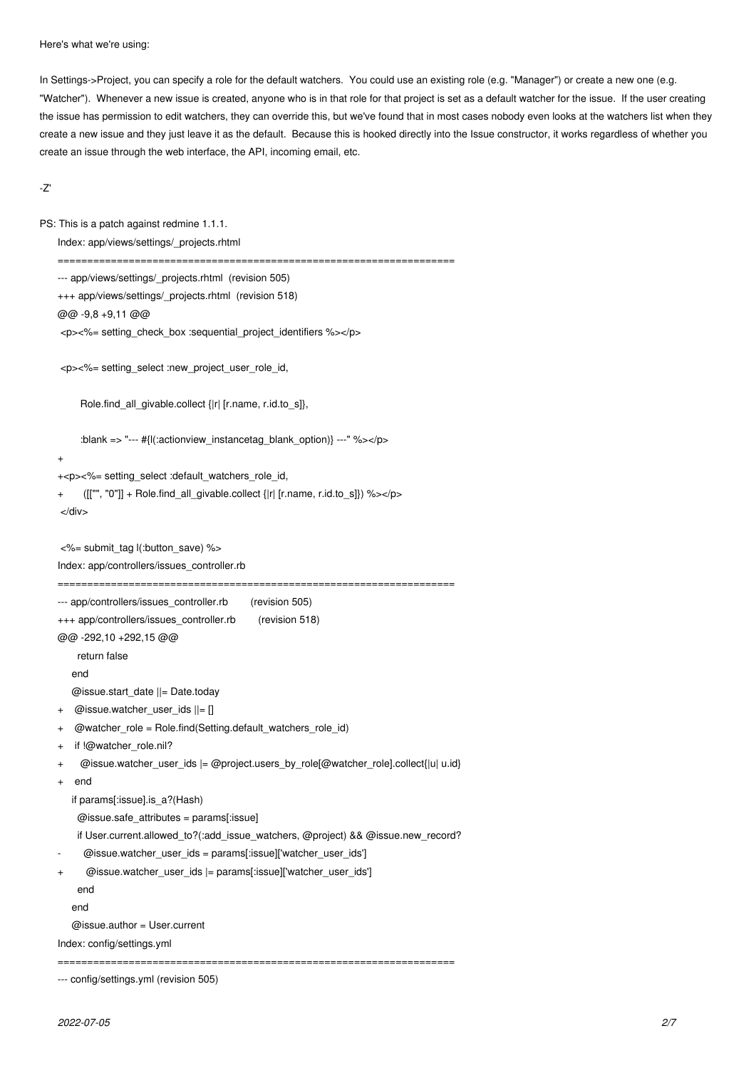Here's what we're using:

In Settings->Project, you can specify a role for the default watchers. You could use an existing role (e.g. "Manager") or create a new one (e.g. "Watcher"). Whenever a new issue is created, anyone who is in that role for that project is set as a default watcher for the issue. If the user creating the issue has permission to edit watchers, they can override this, but we've found that in most cases nobody even looks at the watchers list when they create a new issue and they just leave it as the default. Because this is hooked directly into the Issue constructor, it works regardless of whether you create an issue through the web interface, the API, incoming email, etc.

-Z'

```
PS: This is a patch against redmine 1.1.1.
Index: app/views/settings/_projects.rhtml
 ===================================================================
 --- app/views/settings/ projects.rhtml (revision 505)
+++ app/views/settings/_projects.rhtml (revision 518)
@@ -9,8 +9,11 @@
 <p><%= setting_check_box :sequential_project_identifiers %></p>
 <p><%= setting_select :new_project_user_role_id,
      Role.find_all_givable.collect {|r| [r.name, r.id.to_s]},
     :blank => "--- #{|(:actionview_instancetag_blank_option)} ---" %></p>
 +
 +<p><%= setting_select :default_watchers_role_id,
      ([[""", "0"] + \text{Role.find} all_givable-collect } \{|r| [r.name, r.id.to_s]\} )%></p>
 </div>
 <%= submit_tag l(:button_save) %>
Index: app/controllers/issues_controller.rb
 ===================================================================
--- app/controllers/issues_controller.rb (revision 505)
+++ app/controllers/issues_controller.rb (revision 518)
@@ -292,10 +292,15 @@
     return false
    end
    @issue.start_date ||= Date.today
 + @issue.watcher_user_ids ||= []
 + @watcher_role = Role.find(Setting.default_watchers_role_id)
    if !@watcher_role.nil?
 + @issue.watcher_user_ids |= @project.users_by_role[@watcher_role].collect{|u| u.id}
    end
    if params[:issue].is_a?(Hash)
     @issue.safe_attributes = params[:issue]
     if User.current.allowed_to?(:add_issue_watchers, @project) && @issue.new_record?
      - @issue.watcher_user_ids = params[:issue]['watcher_user_ids']
       + @issue.watcher_user_ids |= params[:issue]['watcher_user_ids']
     end
    end
   @ issue.author = User.current
Index: config/settings.yml
     ===================================================================
```
--- config/settings.yml (revision 505)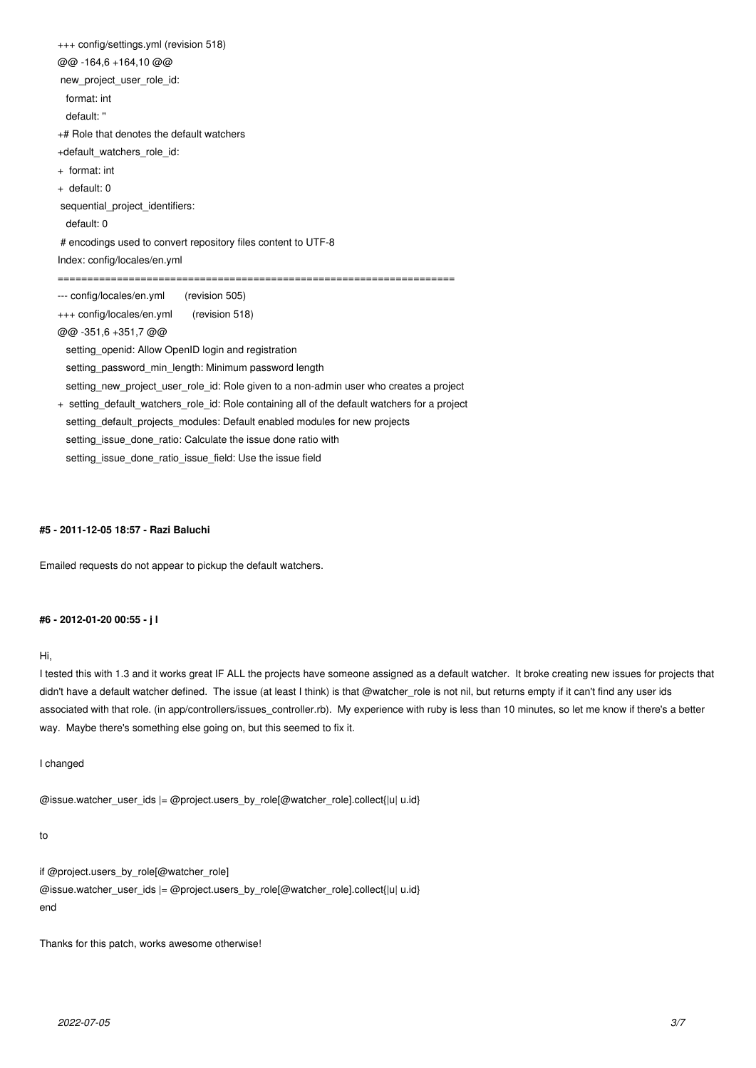+++ config/settings.yml (revision 518) @@ -164,6 +164,10 @@ new project user role id: format: int default: '' +# Role that denotes the default watchers +default\_watchers\_role\_id: + format: int + default: 0 sequential project identifiers: default: 0 # encodings used to convert repository files content to UTF-8 Index: config/locales/en.yml =================================================================== --- config/locales/en.yml (revision 505) +++ config/locales/en.yml (revision 518) @@ -351,6 +351,7 @@ setting\_openid: Allow OpenID login and registration setting\_password\_min\_length: Minimum password length setting\_new\_project\_user\_role\_id: Role given to a non-admin user who creates a project + setting\_default\_watchers\_role\_id: Role containing all of the default watchers for a project setting\_default\_projects\_modules: Default enabled modules for new projects setting issue done ratio: Calculate the issue done ratio with setting issue done ratio issue field: Use the issue field

#### **#5 - 2011-12-05 18:57 - Razi Baluchi**

Emailed requests do not appear to pickup the default watchers.

### **#6 - 2012-01-20 00:55 - j l**

#### Hi,

I tested this with 1.3 and it works great IF ALL the projects have someone assigned as a default watcher. It broke creating new issues for projects that didn't have a default watcher defined. The issue (at least I think) is that @watcher\_role is not nil, but returns empty if it can't find any user ids associated with that role. (in app/controllers/issues\_controller.rb). My experience with ruby is less than 10 minutes, so let me know if there's a better way. Maybe there's something else going on, but this seemed to fix it.

I changed

@issue.watcher\_user\_ids |= @project.users\_by\_role[@watcher\_role].collect{|u| u.id}

#### to

if @project.users\_by\_role[@watcher\_role] @issue.watcher\_user\_ids |= @project.users\_by\_role[@watcher\_role].collect{|u| u.id} end

Thanks for this patch, works awesome otherwise!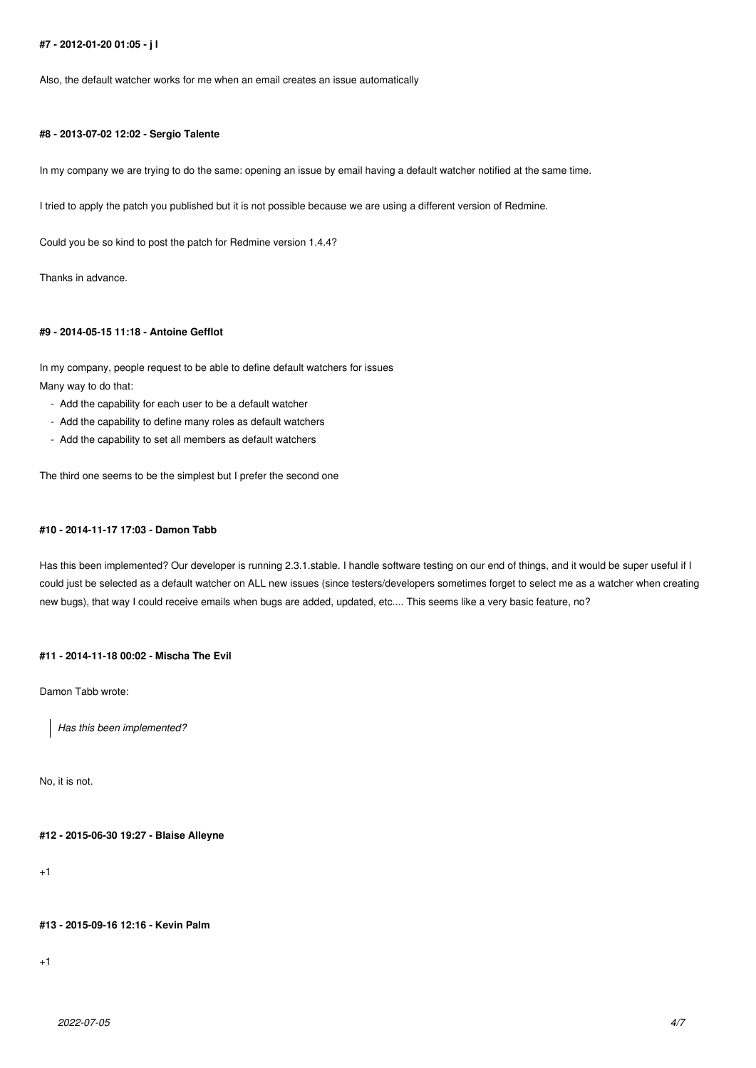## **#7 - 2012-01-20 01:05 - j l**

Also, the default watcher works for me when an email creates an issue automatically

### **#8 - 2013-07-02 12:02 - Sergio Talente**

In my company we are trying to do the same: opening an issue by email having a default watcher notified at the same time.

I tried to apply the patch you published but it is not possible because we are using a different version of Redmine.

Could you be so kind to post the patch for Redmine version 1.4.4?

Thanks in advance.

# **#9 - 2014-05-15 11:18 - Antoine Gefflot**

In my company, people request to be able to define default watchers for issues Many way to do that:

- Add the capability for each user to be a default watcher
- Add the capability to define many roles as default watchers
- Add the capability to set all members as default watchers

The third one seems to be the simplest but I prefer the second one

### **#10 - 2014-11-17 17:03 - Damon Tabb**

Has this been implemented? Our developer is running 2.3.1.stable. I handle software testing on our end of things, and it would be super useful if I could just be selected as a default watcher on ALL new issues (since testers/developers sometimes forget to select me as a watcher when creating new bugs), that way I could receive emails when bugs are added, updated, etc.... This seems like a very basic feature, no?

## **#11 - 2014-11-18 00:02 - Mischa The Evil**

Damon Tabb wrote:

*Has this been implemented?*

No, it is not.

#### **#12 - 2015-06-30 19:27 - Blaise Alleyne**

+1

## **#13 - 2015-09-16 12:16 - Kevin Palm**

+1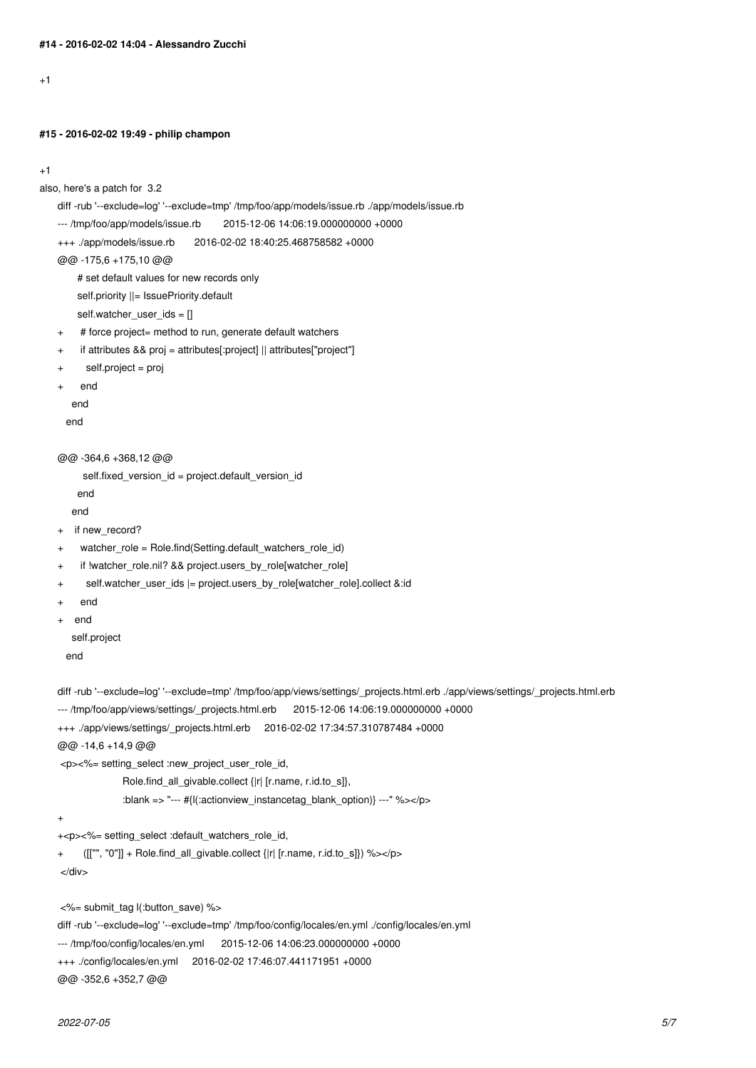$+1$ 

#### **#15 - 2016-02-02 19:49 - philip champon**

```
+1
```

```
also, here's a patch for 3.2
diff -rub '--exclude=log' '--exclude=tmp' /tmp/foo/app/models/issue.rb ./app/models/issue.rb
 --- /tmp/foo/app/models/issue.rb 2015-12-06 14:06:19.000000000 +0000
+++ ./app/models/issue.rb 2016-02-02 18:40:25.468758582 +0000
 @@ -175,6 +175,10 @@
      # set default values for new records only
     self.priority ||= IssuePriority.default
     self.watcher user ids = []+ # force project= method to run, generate default watchers
 + if attributes && proj = attributes[:project] || attributes["project"]
       self.project = proj
     end
     end
    end
 @@ -364,6 +368,12 @@
       self.fixed_version_id = project.default_version_id
      end
     end
 + if new_record?
 + watcher_role = Role.find(Setting.default_watchers_role_id)
 + if !watcher_role.nil? && project.users_by_role[watcher_role]
 + self.watcher_user_ids |= project.users_by_role[watcher_role].collect &:id
 + end
 + end
    self.project
    end
diff -rub '--exclude=log' '--exclude=tmp' /tmp/foo/app/views/settings/_projects.html.erb ./app/views/settings/_projects.html.erb
 --- /tmp/foo/app/views/settings/_projects.html.erb 2015-12-06 14:06:19.000000000 +0000
 +++ ./app/views/settings/_projects.html.erb 2016-02-02 17:34:57.310787484 +0000
 @@ -14,6 +14,9 @@
  <p><%= setting_select :new_project_user_role_id,
                Role.find_all_givable.collect {|r| [r.name, r.id.to_s]},
                :blank => "--- #{l(:actionview_instancetag_blank_option)} ---" %></p>
 +
 +<p><%= setting_select :default_watchers_role_id,
 + ([["", "0"]] + Role.find_all_givable.collect {|r| [r.name, r.id.to_s]}) %></p>
  </div>
```
<%= submit\_tag l(:button\_save) %>

diff -rub '--exclude=log' '--exclude=tmp' /tmp/foo/config/locales/en.yml ./config/locales/en.yml

--- /tmp/foo/config/locales/en.yml 2015-12-06 14:06:23.000000000 +0000

```
+++ ./config/locales/en.yml 2016-02-02 17:46:07.441171951 +0000
```
@@ -352,6 +352,7 @@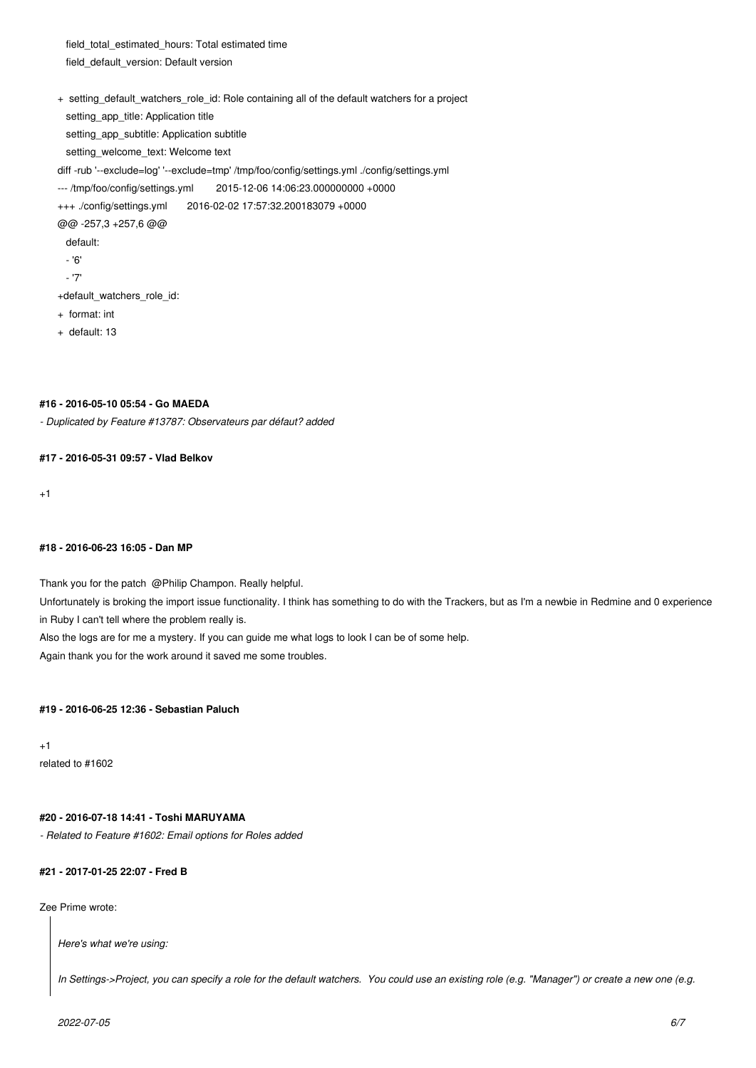field total estimated hours: Total estimated time field\_default\_version: Default version

- + setting\_default\_watchers\_role\_id: Role containing all of the default watchers for a project
	- setting\_app\_title: Application title
	- setting\_app\_subtitle: Application subtitle
- setting\_welcome\_text: Welcome text
- diff -rub '--exclude=log' '--exclude=tmp' /tmp/foo/config/settings.yml ./config/settings.yml
- --- /tmp/foo/config/settings.yml 2015-12-06 14:06:23.000000000 +0000
- +++ ./config/settings.yml 2016-02-02 17:57:32.200183079 +0000
- @@ -257,3 +257,6 @@
	- default:
	- '6'
	- '7'
- +default\_watchers\_role\_id:
- + format: int
- + default: 13

# **#16 - 2016-05-10 05:54 - Go MAEDA**

*- Duplicated by Feature #13787: Observateurs par défaut? added*

# **#17 - 2016-05-31 09:57 - Vlad Belkov**

 $+1$ 

# **#18 - 2016-06-23 16:05 - Dan MP**

Thank you for the patch @Philip Champon. Really helpful. Unfortunately is broking the import issue functionality. I think has something to do with the Trackers, but as I'm a newbie in Redmine and 0 experience in Ruby I can't tell where the problem really is. Also the logs are for me a mystery. If you can guide me what logs to look I can be of some help.

Again thank you for the work around it saved me some troubles.

# **#19 - 2016-06-25 12:36 - Sebastian Paluch**

 $+1$ related to #1602

# **#20 - 2016-07-18 14:41 - Toshi MARUYAMA**

*- Related to Feature #1602: Email options for Roles added*

# **#21 - 2017-01-25 22:07 - Fred B**

Zee Prime wrote:

*Here's what we're using:*

*In Settings->Project, you can specify a role for the default watchers. You could use an existing role (e.g. "Manager") or create a new one (e.g.*